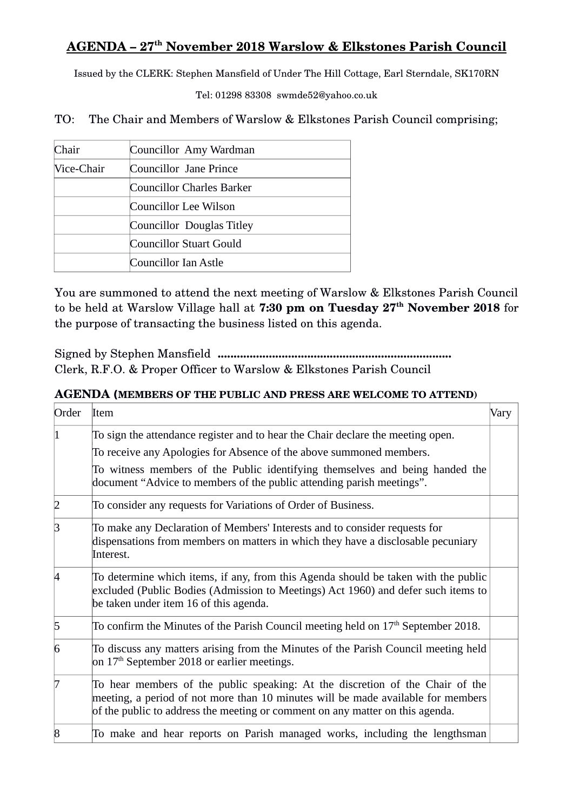## **AGENDA – 27th November 2018 Warslow & Elkstones Parish Council**

Issued by the CLERK: Stephen Mansfield of Under The Hill Cottage, Earl Sterndale, SK170RN

Tel: 01298 83308 swmde52@yahoo.co.uk

TO: The Chair and Members of Warslow & Elkstones Parish Council comprising;

| Chair      | Councillor Amy Wardman           |
|------------|----------------------------------|
| Vice-Chair | Councillor Jane Prince           |
|            | <b>Councillor Charles Barker</b> |
|            | Councillor Lee Wilson            |
|            | Councillor Douglas Titley        |
|            | Councillor Stuart Gould          |
|            | Councillor Ian Astle             |

You are summoned to attend the next meeting of Warslow & Elkstones Parish Council to be held at Warslow Village hall at **7:30 pm on Tuesday 27th November 2018** for the purpose of transacting the business listed on this agenda.

Signed by Stephen Mansfield **.........................................................................** Clerk, R.F.O. & Proper Officer to Warslow & Elkstones Parish Council

## **AGENDA (MEMBERS OF THE PUBLIC AND PRESS ARE WELCOME TO ATTEND)**

| Order | Item                                                                                                                                                                                                                                               | Vary |
|-------|----------------------------------------------------------------------------------------------------------------------------------------------------------------------------------------------------------------------------------------------------|------|
|       | To sign the attendance register and to hear the Chair declare the meeting open.                                                                                                                                                                    |      |
|       | To receive any Apologies for Absence of the above summoned members.                                                                                                                                                                                |      |
|       | To witness members of the Public identifying themselves and being handed the<br>document "Advice to members of the public attending parish meetings".                                                                                              |      |
|       | To consider any requests for Variations of Order of Business.                                                                                                                                                                                      |      |
| ß     | To make any Declaration of Members' Interests and to consider requests for<br>dispensations from members on matters in which they have a disclosable pecuniary<br>Interest.                                                                        |      |
|       | To determine which items, if any, from this Agenda should be taken with the public<br>excluded (Public Bodies (Admission to Meetings) Act 1960) and defer such items to<br>be taken under item 16 of this agenda.                                  |      |
| 5     | To confirm the Minutes of the Parish Council meeting held on $17th$ September 2018.                                                                                                                                                                |      |
| 6     | To discuss any matters arising from the Minutes of the Parish Council meeting held<br>on $17th$ September 2018 or earlier meetings.                                                                                                                |      |
|       | To hear members of the public speaking: At the discretion of the Chair of the<br>meeting, a period of not more than 10 minutes will be made available for members<br>of the public to address the meeting or comment on any matter on this agenda. |      |
| 8     | To make and hear reports on Parish managed works, including the lengthsman                                                                                                                                                                         |      |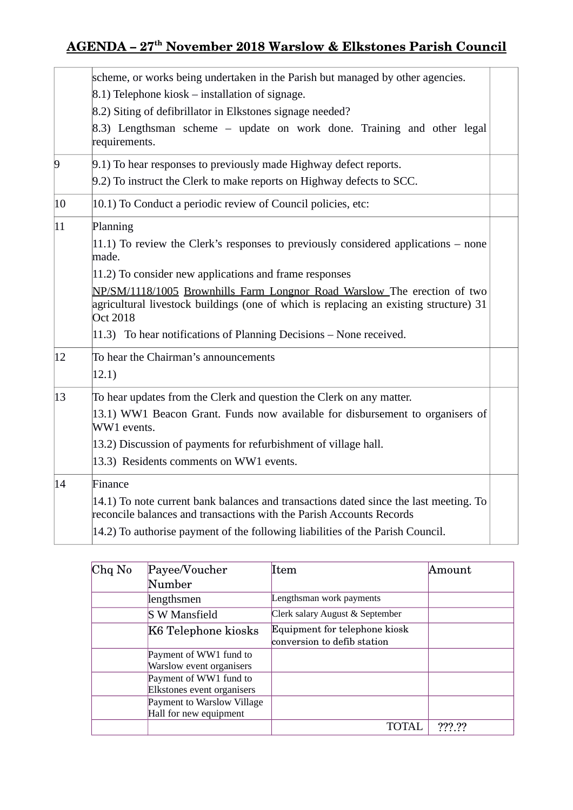## **AGENDA – 27th November 2018 Warslow & Elkstones Parish Council**

|                | scheme, or works being undertaken in the Parish but managed by other agencies.                                                                                                       |  |  |  |
|----------------|--------------------------------------------------------------------------------------------------------------------------------------------------------------------------------------|--|--|--|
|                | $(8.1)$ Telephone kiosk – installation of signage.                                                                                                                                   |  |  |  |
|                | 8.2) Siting of defibrillator in Elkstones signage needed?                                                                                                                            |  |  |  |
|                | 8.3) Lengthsman scheme – update on work done. Training and other legal<br>requirements.                                                                                              |  |  |  |
| $\overline{9}$ | 9.1) To hear responses to previously made Highway defect reports.<br>9.2) To instruct the Clerk to make reports on Highway defects to SCC.                                           |  |  |  |
| 10             | 10.1) To Conduct a periodic review of Council policies, etc:                                                                                                                         |  |  |  |
| $ 11\rangle$   | Planning                                                                                                                                                                             |  |  |  |
|                | $(11.1)$ To review the Clerk's responses to previously considered applications – none<br>made.                                                                                       |  |  |  |
|                | 11.2) To consider new applications and frame responses                                                                                                                               |  |  |  |
|                | NP/SM/1118/1005 Brownhills Farm Longnor Road Warslow The erection of two<br>agricultural livestock buildings (one of which is replacing an existing structure) 31<br><b>Oct 2018</b> |  |  |  |
|                | $(11.3)$ To hear notifications of Planning Decisions – None received.                                                                                                                |  |  |  |
| 12             | To hear the Chairman's announcements                                                                                                                                                 |  |  |  |
|                | (12.1)                                                                                                                                                                               |  |  |  |
| 13             | To hear updates from the Clerk and question the Clerk on any matter.                                                                                                                 |  |  |  |
|                | 13.1) WW1 Beacon Grant. Funds now available for disbursement to organisers of<br>WW1 events.                                                                                         |  |  |  |
|                | 13.2) Discussion of payments for refurbishment of village hall.                                                                                                                      |  |  |  |
|                | 13.3) Residents comments on WW1 events.                                                                                                                                              |  |  |  |
| 14             | Finance                                                                                                                                                                              |  |  |  |
|                | 14.1) To note current bank balances and transactions dated since the last meeting. To<br>reconcile balances and transactions with the Parish Accounts Records                        |  |  |  |
|                | 14.2) To authorise payment of the following liabilities of the Parish Council.                                                                                                       |  |  |  |
|                |                                                                                                                                                                                      |  |  |  |

| $Chq$ No | Payee/Voucher                                        | Item                                                         | Amount |
|----------|------------------------------------------------------|--------------------------------------------------------------|--------|
|          | Number                                               |                                                              |        |
|          | lengthsmen                                           | Lengthsman work payments                                     |        |
|          | <b>S W Mansfield</b>                                 | Clerk salary August & September                              |        |
|          | K6 Telephone kiosks                                  | Equipment for telephone kiosk<br>conversion to defib station |        |
|          | Payment of WW1 fund to<br>Warslow event organisers   |                                                              |        |
|          | Payment of WW1 fund to<br>Elkstones event organisers |                                                              |        |
|          | Payment to Warslow Village<br>Hall for new equipment |                                                              |        |
|          |                                                      |                                                              | ??? ?? |